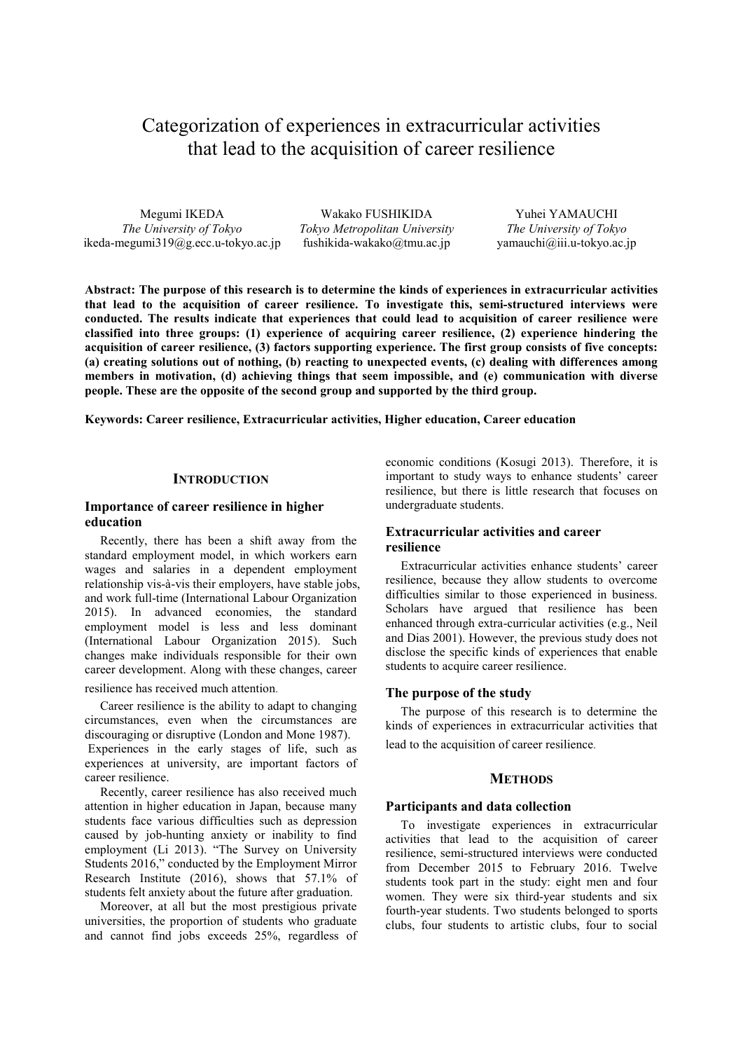# Categorization of experiences in extracurricular activities that lead to the acquisition of career resilience

Megumi IKEDA *The University of Tokyo* ikeda-megumi319@g.ecc.u-tokyo.ac.jp

Wakako FUSHIKIDA *Tokyo Metropolitan University* fushikida-wakako@tmu.ac.jp

Yuhei YAMAUCHI *The University of Tokyo*  yamauchi@iii.u-tokyo.ac.jp

**Abstract: The purpose of this research is to determine the kinds of experiences in extracurricular activities that lead to the acquisition of career resilience. To investigate this, semi-structured interviews were conducted. The results indicate that experiences that could lead to acquisition of career resilience were classified into three groups: (1) experience of acquiring career resilience, (2) experience hindering the acquisition of career resilience, (3) factors supporting experience. The first group consists of five concepts: (a) creating solutions out of nothing, (b) reacting to unexpected events, (c) dealing with differences among members in motivation, (d) achieving things that seem impossible, and (e) communication with diverse people. These are the opposite of the second group and supported by the third group.** 

**Keywords: Career resilience, Extracurricular activities, Higher education, Career education** 

## **INTRODUCTION**

# **Importance of career resilience in higher education**

Recently, there has been a shift away from the standard employment model, in which workers earn wages and salaries in a dependent employment relationship vis-à-vis their employers, have stable jobs, and work full-time (International Labour Organization 2015). In advanced economies, the standard employment model is less and less dominant (International Labour Organization 2015). Such changes make individuals responsible for their own career development. Along with these changes, career

resilience has received much attention.

Career resilience is the ability to adapt to changing circumstances, even when the circumstances are discouraging or disruptive (London and Mone 1987).

 Experiences in the early stages of life, such as experiences at university, are important factors of career resilience.

Recently, career resilience has also received much attention in higher education in Japan, because many students face various difficulties such as depression caused by job-hunting anxiety or inability to find employment (Li 2013). "The Survey on University Students 2016," conducted by the Employment Mirror Research Institute (2016), shows that 57.1% of students felt anxiety about the future after graduation.

Moreover, at all but the most prestigious private universities, the proportion of students who graduate and cannot find jobs exceeds 25%, regardless of economic conditions (Kosugi 2013). Therefore, it is important to study ways to enhance students' career resilience, but there is little research that focuses on undergraduate students.

# **Extracurricular activities and career resilience**

Extracurricular activities enhance students' career resilience, because they allow students to overcome difficulties similar to those experienced in business. Scholars have argued that resilience has been enhanced through extra-curricular activities (e.g., Neil and Dias 2001). However, the previous study does not disclose the specific kinds of experiences that enable students to acquire career resilience.

## **The purpose of the study**

The purpose of this research is to determine the kinds of experiences in extracurricular activities that lead to the acquisition of career resilience.

## **METHODS**

#### **Participants and data collection**

To investigate experiences in extracurricular activities that lead to the acquisition of career resilience, semi-structured interviews were conducted from December 2015 to February 2016. Twelve students took part in the study: eight men and four women. They were six third-year students and six fourth-year students. Two students belonged to sports clubs, four students to artistic clubs, four to social